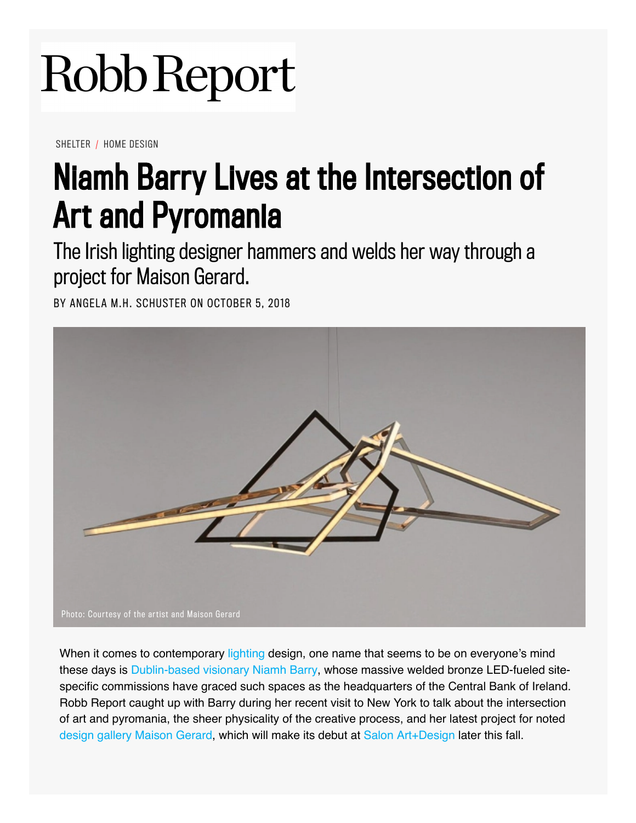## Robb Report

SHELTER / HOME DESIGN

## [Niamh Barry Lives at the Intersection of](http://googleads.g.doubleclick.net/pcs/click?xai=AKAOjsvc4oB0I_XdeONwsbWpGzlw4IPopjlzFNhU5HW2WBljIvkZvRmik-W5TXXanZUEIm5kmcewWBZRxrT6o6NsPCbT_rtFZK8un1M9zLjL4QvNBvTmHIyeViGRitN_eyXahzlxkdP5LbrEev0yulfoATtsVJuC5LoaKEAohV-sgSaL90vOLBjHouOwKLGevRO-H5O-8L14ozTPqq0Nw28cxll42CHGj6yon4L7YdMn7EDnqkcVv40ggEXPfN6YpmYi0xdvkQA&sai=AMfl-YRZqI5vaGtuqJA22eAu0dY1t1I_qXqEr3GApGgrw0eLlTuzMBmvYiklPShvRz0uIKfqunUjeK4BTjKXqw_CHiCuZxLkap88mB9PS8TdK14vfoP8j9a1v6YJLjam&sig=Cg0ArKJSzKxqC7LtCwl5&adurl=http://www.penskeluxury.com&nm=2) Art and Pyromania

The Irish lighting designer hammers and welds her way through a project for Maison Gerard.

BY ANGELA M.H. SCHUSTER ON OCTOBER 5, 2018



When it comes to contemporary lighting design, one name that seems to be on everyone's mind these days is Dublin-based visionary Niamh Barry, whose massive welded bronze LED-fueled sitespecific commissions have graced such spaces as the headquarters of the Central Bank of Ireland. Robb Report caught up with Barry during her recent visit to New York to talk about the intersection of art and pyromania, the sheer physicality of the creative process, and her latest project for noted design gallery Maison Gerard, which will make its debut at Salon Art+Design later this fall.